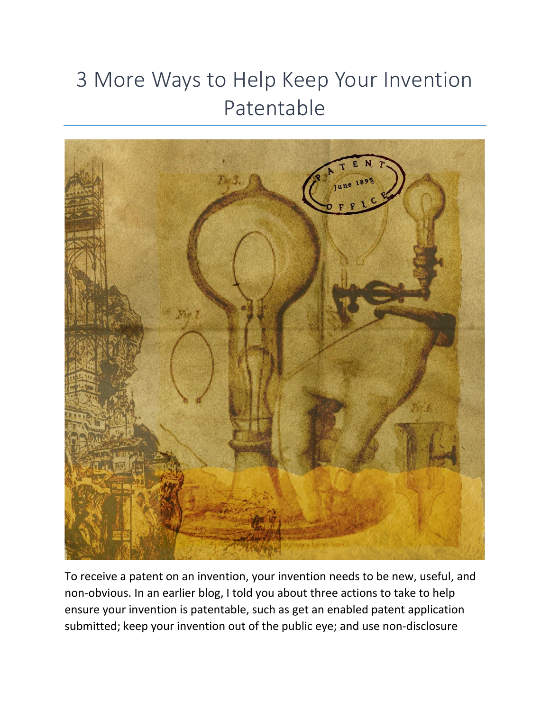## 3 More Ways to Help Keep Your Invention Patentable



To receive a patent on an invention, your invention needs to be new, useful, and non-obvious. In an earlier blog, I told you about three actions to take to help ensure your invention is patentable, such as get an enabled patent application submitted; keep your invention out of the public eye; and use non-disclosure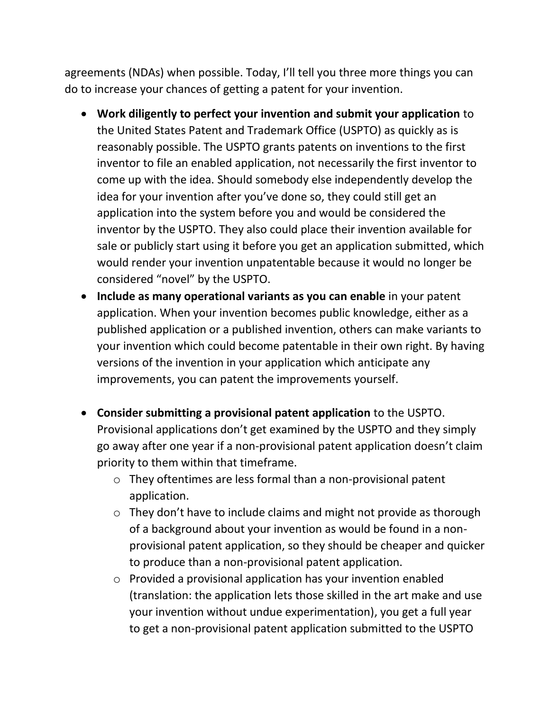agreements (NDAs) when possible. Today, I'll tell you three more things you can do to increase your chances of getting a patent for your invention.

- **Work diligently to perfect your invention and submit your application** to the United States Patent and Trademark Office (USPTO) as quickly as is reasonably possible. The USPTO grants patents on inventions to the first inventor to file an enabled application, not necessarily the first inventor to come up with the idea. Should somebody else independently develop the idea for your invention after you've done so, they could still get an application into the system before you and would be considered the inventor by the USPTO. They also could place their invention available for sale or publicly start using it before you get an application submitted, which would render your invention unpatentable because it would no longer be considered "novel" by the USPTO.
- **Include as many operational variants as you can enable** in your patent application. When your invention becomes public knowledge, either as a published application or a published invention, others can make variants to your invention which could become patentable in their own right. By having versions of the invention in your application which anticipate any improvements, you can patent the improvements yourself.
- **Consider submitting a provisional patent application** to the USPTO. Provisional applications don't get examined by the USPTO and they simply go away after one year if a non-provisional patent application doesn't claim priority to them within that timeframe.
	- o They oftentimes are less formal than a non-provisional patent application.
	- o They don't have to include claims and might not provide as thorough of a background about your invention as would be found in a nonprovisional patent application, so they should be cheaper and quicker to produce than a non-provisional patent application.
	- o Provided a provisional application has your invention enabled (translation: the application lets those skilled in the art make and use your invention without undue experimentation), you get a full year to get a non-provisional patent application submitted to the USPTO